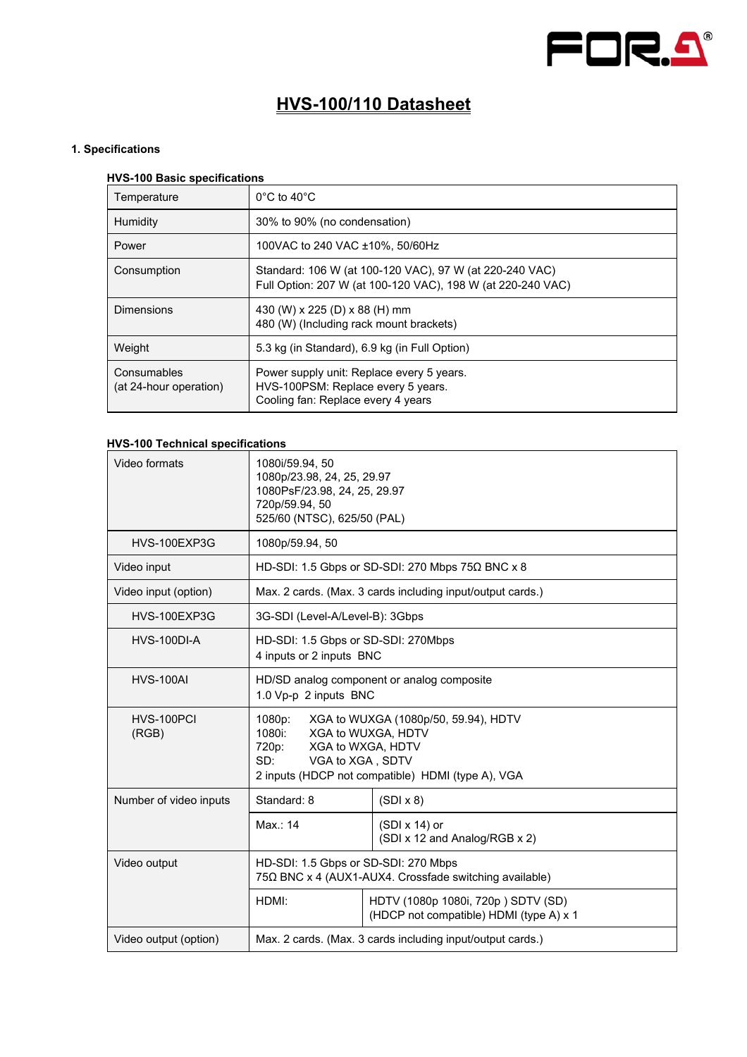

# **HVS-100/110 Datasheet**

# **1. Specifications**

# **HVS-100 Basic specifications**

| Temperature                           | $0^{\circ}$ C to 40 $^{\circ}$ C                                                                                       |
|---------------------------------------|------------------------------------------------------------------------------------------------------------------------|
| Humidity                              | 30% to 90% (no condensation)                                                                                           |
| Power                                 | 100VAC to 240 VAC ±10%, 50/60Hz                                                                                        |
| Consumption                           | Standard: 106 W (at 100-120 VAC), 97 W (at 220-240 VAC)<br>Full Option: 207 W (at 100-120 VAC), 198 W (at 220-240 VAC) |
| <b>Dimensions</b>                     | 430 (W) x 225 (D) x 88 (H) mm<br>480 (W) (Including rack mount brackets)                                               |
| Weight                                | 5.3 kg (in Standard), 6.9 kg (in Full Option)                                                                          |
| Consumables<br>(at 24-hour operation) | Power supply unit: Replace every 5 years.<br>HVS-100PSM: Replace every 5 years.<br>Cooling fan: Replace every 4 years  |

# **HVS-100 Technical specifications**

| Video formats          | 1080i/59.94, 50<br>1080p/23.98, 24, 25, 29.97<br>1080PsF/23.98, 24, 25, 29.97<br>720p/59.94, 50<br>525/60 (NTSC), 625/50 (PAL)                                                               |                                                                               |  |  |
|------------------------|----------------------------------------------------------------------------------------------------------------------------------------------------------------------------------------------|-------------------------------------------------------------------------------|--|--|
| HVS-100EXP3G           | 1080p/59.94, 50                                                                                                                                                                              |                                                                               |  |  |
| Video input            |                                                                                                                                                                                              | HD-SDI: 1.5 Gbps or SD-SDI: 270 Mbps 75Ω BNC x 8                              |  |  |
| Video input (option)   |                                                                                                                                                                                              | Max. 2 cards. (Max. 3 cards including input/output cards.)                    |  |  |
| HVS-100EXP3G           |                                                                                                                                                                                              | 3G-SDI (Level-A/Level-B): 3Gbps                                               |  |  |
| HVS-100DI-A            | HD-SDI: 1.5 Gbps or SD-SDI: 270Mbps<br>4 inputs or 2 inputs BNC                                                                                                                              |                                                                               |  |  |
| <b>HVS-100AI</b>       | HD/SD analog component or analog composite<br>1.0 Vp-p 2 inputs BNC                                                                                                                          |                                                                               |  |  |
| HVS-100PCI<br>(RGB)    | XGA to WUXGA (1080p/50, 59.94), HDTV<br>1080p:<br>1080i:<br>XGA to WUXGA, HDTV<br>XGA to WXGA, HDTV<br>720p:<br>SD:<br>VGA to XGA, SDTV<br>2 inputs (HDCP not compatible) HDMI (type A), VGA |                                                                               |  |  |
| Number of video inputs | Standard: 8                                                                                                                                                                                  | $(SDI \times 8)$                                                              |  |  |
|                        | Max.: 14                                                                                                                                                                                     | $(SDI \times 14)$ or<br>(SDI x 12 and Analog/RGB x 2)                         |  |  |
| Video output           | HD-SDI: 1.5 Gbps or SD-SDI: 270 Mbps<br>75Ω BNC x 4 (AUX1-AUX4. Crossfade switching available)                                                                                               |                                                                               |  |  |
|                        | HDMI:                                                                                                                                                                                        | HDTV (1080p 1080i, 720p) SDTV (SD)<br>(HDCP not compatible) HDMI (type A) x 1 |  |  |
| Video output (option)  | Max. 2 cards. (Max. 3 cards including input/output cards.)                                                                                                                                   |                                                                               |  |  |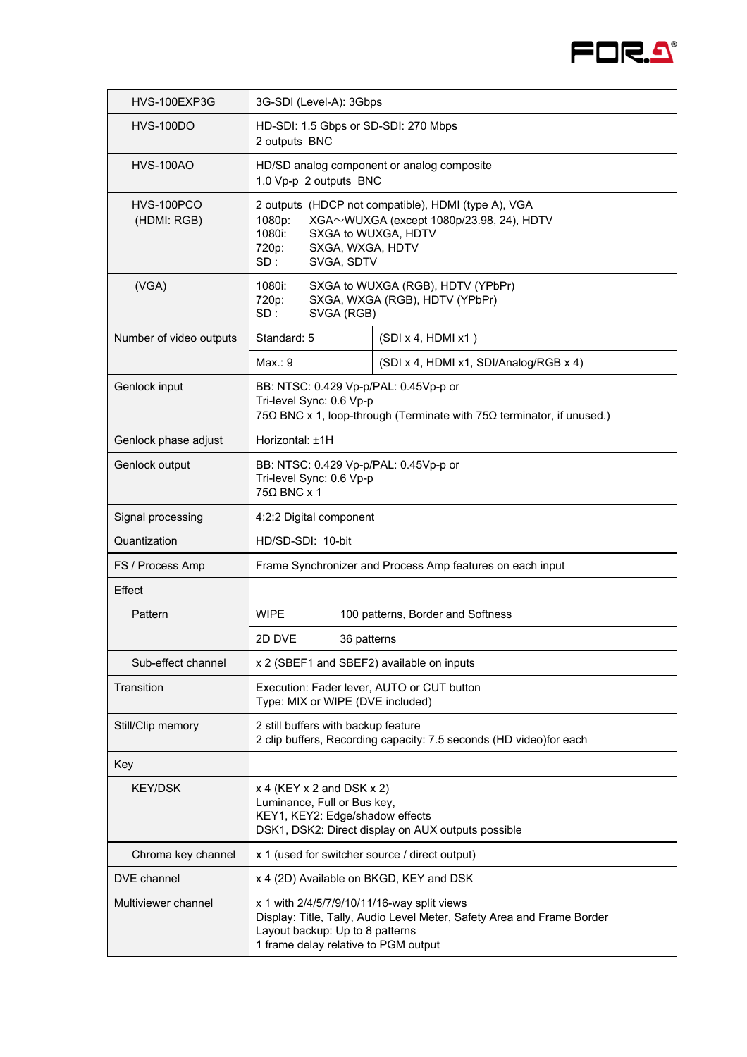

| HVS-100EXP3G              | 3G-SDI (Level-A): 3Gbps                                                                                                                                                                          |                                                                                                                                            |                                                                     |  |
|---------------------------|--------------------------------------------------------------------------------------------------------------------------------------------------------------------------------------------------|--------------------------------------------------------------------------------------------------------------------------------------------|---------------------------------------------------------------------|--|
| <b>HVS-100DO</b>          | HD-SDI: 1.5 Gbps or SD-SDI: 270 Mbps<br>2 outputs BNC                                                                                                                                            |                                                                                                                                            |                                                                     |  |
| <b>HVS-100AO</b>          | HD/SD analog component or analog composite<br>1.0 Vp-p 2 outputs BNC                                                                                                                             |                                                                                                                                            |                                                                     |  |
| HVS-100PCO<br>(HDMI: RGB) | 2 outputs (HDCP not compatible), HDMI (type A), VGA<br>XGA~WUXGA (except 1080p/23.98, 24), HDTV<br>1080p:<br>1080i:<br>SXGA to WUXGA, HDTV<br>720p:<br>SXGA, WXGA, HDTV<br>SD:<br>SVGA, SDTV     |                                                                                                                                            |                                                                     |  |
| (VGA)                     | 1080i:<br>720p:<br>SD:                                                                                                                                                                           | SVGA (RGB)                                                                                                                                 | SXGA to WUXGA (RGB), HDTV (YPbPr)<br>SXGA, WXGA (RGB), HDTV (YPbPr) |  |
| Number of video outputs   | Standard: 5                                                                                                                                                                                      |                                                                                                                                            | (SDI x 4, HDMl x1)                                                  |  |
|                           | Max: 9                                                                                                                                                                                           |                                                                                                                                            | (SDI x 4, HDMI x1, SDI/Analog/RGB x 4)                              |  |
| Genlock input             |                                                                                                                                                                                                  | BB: NTSC: 0.429 Vp-p/PAL: 0.45Vp-p or<br>Tri-level Sync: 0.6 Vp-p<br>75Ω BNC x 1, loop-through (Terminate with 75Ω terminator, if unused.) |                                                                     |  |
| Genlock phase adjust      | Horizontal: +1H                                                                                                                                                                                  |                                                                                                                                            |                                                                     |  |
| Genlock output            | BB: NTSC: 0.429 Vp-p/PAL: 0.45Vp-p or<br>Tri-level Sync: 0.6 Vp-p<br>$750$ BNC x 1                                                                                                               |                                                                                                                                            |                                                                     |  |
| Signal processing         | 4:2:2 Digital component                                                                                                                                                                          |                                                                                                                                            |                                                                     |  |
| Quantization              | HD/SD-SDI: 10-bit                                                                                                                                                                                |                                                                                                                                            |                                                                     |  |
| FS / Process Amp          | Frame Synchronizer and Process Amp features on each input                                                                                                                                        |                                                                                                                                            |                                                                     |  |
| Effect                    |                                                                                                                                                                                                  |                                                                                                                                            |                                                                     |  |
| Pattern                   | <b>WIPE</b>                                                                                                                                                                                      |                                                                                                                                            | 100 patterns, Border and Softness                                   |  |
|                           | 2D DVE                                                                                                                                                                                           | 36 patterns                                                                                                                                |                                                                     |  |
| Sub-effect channel        |                                                                                                                                                                                                  |                                                                                                                                            | x 2 (SBEF1 and SBEF2) available on inputs                           |  |
| Transition                | Execution: Fader lever, AUTO or CUT button<br>Type: MIX or WIPE (DVE included)                                                                                                                   |                                                                                                                                            |                                                                     |  |
| Still/Clip memory         | 2 still buffers with backup feature<br>2 clip buffers, Recording capacity: 7.5 seconds (HD video)for each                                                                                        |                                                                                                                                            |                                                                     |  |
| Key                       |                                                                                                                                                                                                  |                                                                                                                                            |                                                                     |  |
| <b>KEY/DSK</b>            | $x$ 4 (KEY $x$ 2 and DSK $x$ 2)<br>Luminance, Full or Bus key,<br>KEY1, KEY2: Edge/shadow effects<br>DSK1, DSK2: Direct display on AUX outputs possible                                          |                                                                                                                                            |                                                                     |  |
| Chroma key channel        | x 1 (used for switcher source / direct output)                                                                                                                                                   |                                                                                                                                            |                                                                     |  |
| <b>DVE</b> channel        |                                                                                                                                                                                                  |                                                                                                                                            | x 4 (2D) Available on BKGD, KEY and DSK                             |  |
| Multiviewer channel       | x 1 with 2/4/5/7/9/10/11/16-way split views<br>Display: Title, Tally, Audio Level Meter, Safety Area and Frame Border<br>Layout backup: Up to 8 patterns<br>1 frame delay relative to PGM output |                                                                                                                                            |                                                                     |  |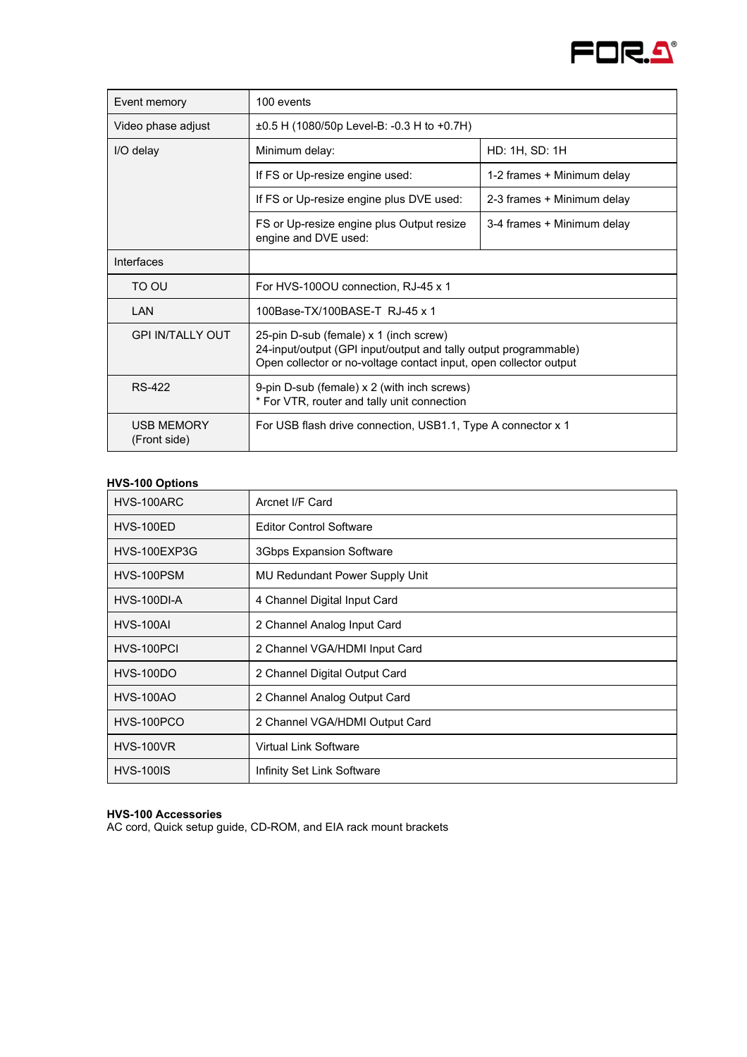

| Event memory                      | 100 events                                                                                                                                                                      |                            |  |
|-----------------------------------|---------------------------------------------------------------------------------------------------------------------------------------------------------------------------------|----------------------------|--|
| Video phase adjust                | $\pm 0.5$ H (1080/50p Level-B: -0.3 H to +0.7H)                                                                                                                                 |                            |  |
| I/O delay                         | Minimum delay:                                                                                                                                                                  | HD: 1H, SD: 1H             |  |
|                                   | If FS or Up-resize engine used:                                                                                                                                                 | 1-2 frames + Minimum delay |  |
|                                   | If FS or Up-resize engine plus DVE used:                                                                                                                                        | 2-3 frames + Minimum delay |  |
|                                   | FS or Up-resize engine plus Output resize<br>engine and DVE used:                                                                                                               | 3-4 frames + Minimum delay |  |
| Interfaces                        |                                                                                                                                                                                 |                            |  |
| TO OU                             | For HVS-100OU connection, RJ-45 x 1                                                                                                                                             |                            |  |
| LAN                               | 100Base-TX/100BASF-T RJ-45 x 1                                                                                                                                                  |                            |  |
| GPI IN/TALLY OUT                  | 25-pin D-sub (female) x 1 (inch screw)<br>24-input/output (GPI input/output and tally output programmable)<br>Open collector or no-voltage contact input, open collector output |                            |  |
| RS-422                            | 9-pin D-sub (female) x 2 (with inch screws)<br>* For VTR, router and tally unit connection                                                                                      |                            |  |
| <b>USB MEMORY</b><br>(Front side) | For USB flash drive connection, USB1.1, Type A connector x 1                                                                                                                    |                            |  |

# **HVS-100 Options**

| HVS-100ARC       | Arcnet I/F Card                 |
|------------------|---------------------------------|
| <b>HVS-100ED</b> | <b>Editor Control Software</b>  |
| HVS-100EXP3G     | <b>3Gbps Expansion Software</b> |
| HVS-100PSM       | MU Redundant Power Supply Unit  |
| HVS-100DI-A      | 4 Channel Digital Input Card    |
| <b>HVS-100AI</b> | 2 Channel Analog Input Card     |
| HVS-100PCI       | 2 Channel VGA/HDMI Input Card   |
| <b>HVS-100DO</b> | 2 Channel Digital Output Card   |
| <b>HVS-100AO</b> | 2 Channel Analog Output Card    |
| HVS-100PCO       | 2 Channel VGA/HDMI Output Card  |
| <b>HVS-100VR</b> | <b>Virtual Link Software</b>    |
| <b>HVS-100IS</b> | Infinity Set Link Software      |

#### **HVS-100 Accessories**

AC cord, Quick setup guide, CD-ROM, and EIA rack mount brackets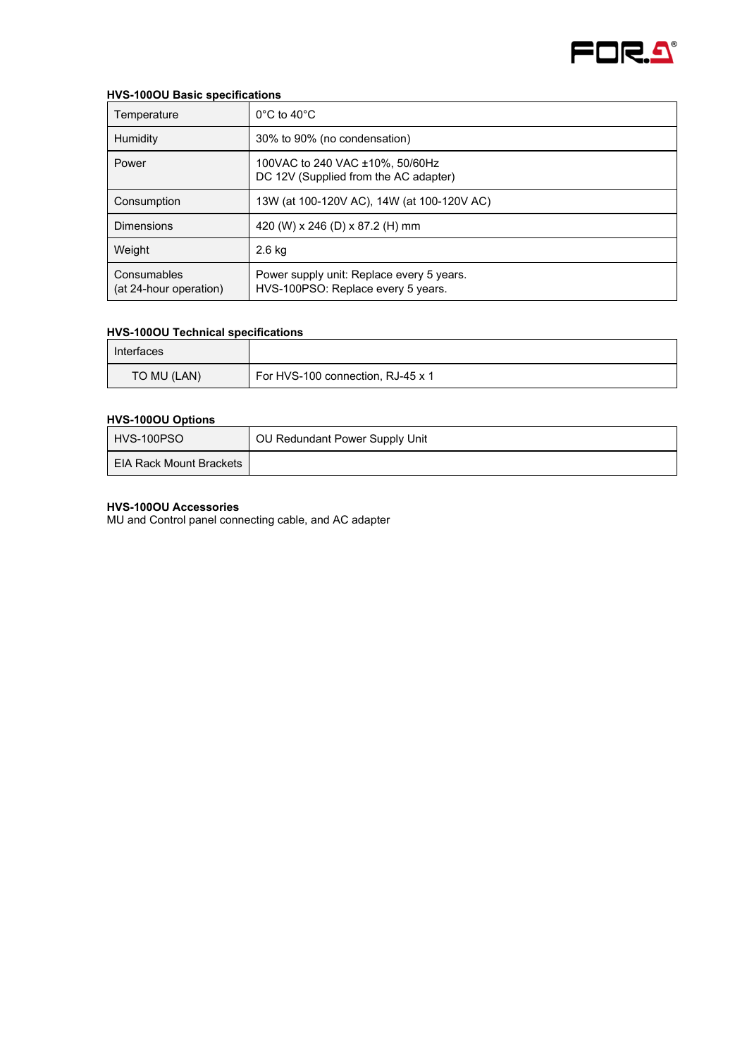

#### **HVS-100OU Basic specifications**

| Temperature                           | $0^{\circ}$ C to 40 $^{\circ}$ C                                                |
|---------------------------------------|---------------------------------------------------------------------------------|
| Humidity                              | 30% to 90% (no condensation)                                                    |
| Power                                 | 100VAC to 240 VAC ±10%, 50/60Hz<br>DC 12V (Supplied from the AC adapter)        |
| Consumption                           | 13W (at 100-120V AC), 14W (at 100-120V AC)                                      |
| <b>Dimensions</b>                     | 420 (W) x 246 (D) x 87.2 (H) mm                                                 |
| Weight                                | $2.6$ kg                                                                        |
| Consumables<br>(at 24-hour operation) | Power supply unit: Replace every 5 years.<br>HVS-100PSO: Replace every 5 years. |

#### **HVS-100OU Technical specifications**

| Interfaces  |                                   |
|-------------|-----------------------------------|
| TO MU (LAN) | For HVS-100 connection, RJ-45 x 1 |

## **HVS-100OU Options**

| HVS-100PSO              | OU Redundant Power Supply Unit |
|-------------------------|--------------------------------|
| EIA Rack Mount Brackets |                                |

#### **HVS-100OU Accessories**

MU and Control panel connecting cable, and AC adapter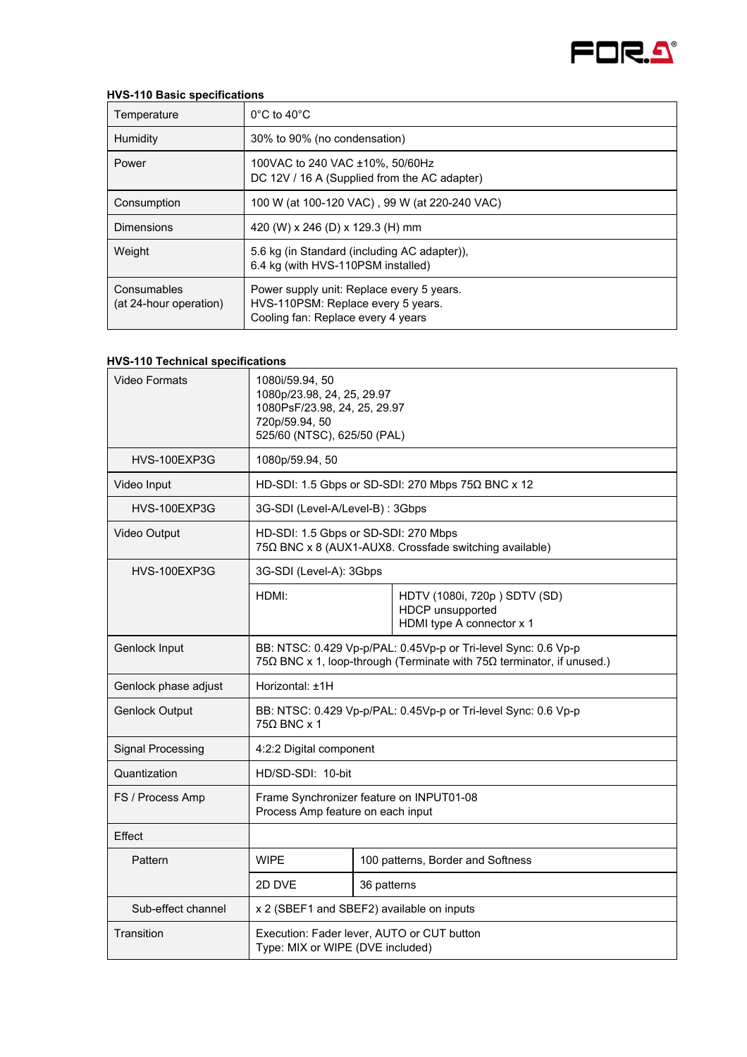

## **HVS-110 Basic specifications**

| Temperature                           | $0^{\circ}$ C to 40 $^{\circ}$ C                                                                                      |
|---------------------------------------|-----------------------------------------------------------------------------------------------------------------------|
| Humidity                              | 30% to 90% (no condensation)                                                                                          |
| Power                                 | 100VAC to 240 VAC ±10%, 50/60Hz<br>DC 12V / 16 A (Supplied from the AC adapter)                                       |
| Consumption                           | 100 W (at 100-120 VAC), 99 W (at 220-240 VAC)                                                                         |
| <b>Dimensions</b>                     | 420 (W) x 246 (D) x 129.3 (H) mm                                                                                      |
| Weight                                | 5.6 kg (in Standard (including AC adapter)),<br>6.4 kg (with HVS-110PSM installed)                                    |
| Consumables<br>(at 24-hour operation) | Power supply unit: Replace every 5 years.<br>HVS-110PSM: Replace every 5 years.<br>Cooling fan: Replace every 4 years |

#### **HVS-110 Technical specifications**

| <b>Video Formats</b>     | 1080i/59.94, 50<br>1080p/23.98, 24, 25, 29.97<br>1080PsF/23.98, 24, 25, 29.97<br>720p/59.94, 50<br>525/60 (NTSC), 625/50 (PAL)          |                                                                                                |                                                                               |
|--------------------------|-----------------------------------------------------------------------------------------------------------------------------------------|------------------------------------------------------------------------------------------------|-------------------------------------------------------------------------------|
| HVS-100EXP3G             | 1080p/59.94, 50                                                                                                                         |                                                                                                |                                                                               |
| Video Input              |                                                                                                                                         |                                                                                                | HD-SDI: 1.5 Gbps or SD-SDI: 270 Mbps 75Ω BNC x 12                             |
| HVS-100EXP3G             | 3G-SDI (Level-A/Level-B) : 3Gbps                                                                                                        |                                                                                                |                                                                               |
| Video Output             |                                                                                                                                         | HD-SDI: 1.5 Gbps or SD-SDI: 270 Mbps<br>75Ω BNC x 8 (AUX1-AUX8. Crossfade switching available) |                                                                               |
| HVS-100EXP3G             | 3G-SDI (Level-A): 3Gbps                                                                                                                 |                                                                                                |                                                                               |
|                          | HDMI:                                                                                                                                   |                                                                                                | HDTV (1080i, 720p) SDTV (SD)<br>HDCP unsupported<br>HDMI type A connector x 1 |
| Genlock Input            | BB: NTSC: 0.429 Vp-p/PAL: 0.45Vp-p or Tri-level Sync: 0.6 Vp-p<br>75Ω BNC x 1, loop-through (Terminate with 75Ω terminator, if unused.) |                                                                                                |                                                                               |
| Genlock phase adjust     | Horizontal: ±1H                                                                                                                         |                                                                                                |                                                                               |
| <b>Genlock Output</b>    | BB: NTSC: 0.429 Vp-p/PAL: 0.45Vp-p or Tri-level Sync: 0.6 Vp-p<br>$75\Omega$ BNC x 1                                                    |                                                                                                |                                                                               |
| <b>Signal Processing</b> | 4:2:2 Digital component                                                                                                                 |                                                                                                |                                                                               |
| Quantization             | HD/SD-SDI: 10-bit                                                                                                                       |                                                                                                |                                                                               |
| FS / Process Amp         | Frame Synchronizer feature on INPUT01-08<br>Process Amp feature on each input                                                           |                                                                                                |                                                                               |
| <b>Fffect</b>            |                                                                                                                                         |                                                                                                |                                                                               |
| Pattern                  | <b>WIPE</b>                                                                                                                             |                                                                                                | 100 patterns, Border and Softness                                             |
|                          | 2D DVE                                                                                                                                  | 36 patterns                                                                                    |                                                                               |
| Sub-effect channel       |                                                                                                                                         | x 2 (SBEF1 and SBEF2) available on inputs                                                      |                                                                               |
| Transition               | Execution: Fader lever, AUTO or CUT button<br>Type: MIX or WIPE (DVE included)                                                          |                                                                                                |                                                                               |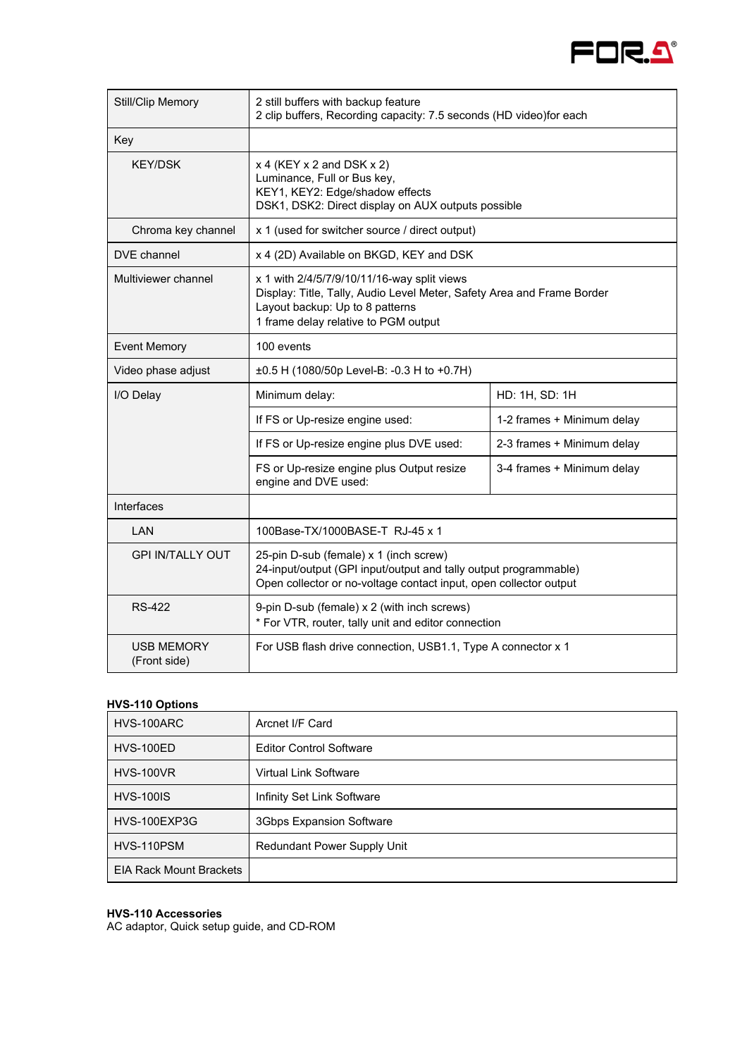

| <b>Still/Clip Memory</b>          | 2 still buffers with backup feature<br>2 clip buffers, Recording capacity: 7.5 seconds (HD video)for each                                                                                        |                            |  |
|-----------------------------------|--------------------------------------------------------------------------------------------------------------------------------------------------------------------------------------------------|----------------------------|--|
| Key                               |                                                                                                                                                                                                  |                            |  |
| <b>KEY/DSK</b>                    | $x$ 4 (KEY $x$ 2 and DSK $x$ 2)<br>Luminance, Full or Bus key,<br>KEY1, KEY2: Edge/shadow effects<br>DSK1, DSK2: Direct display on AUX outputs possible                                          |                            |  |
| Chroma key channel                | x 1 (used for switcher source / direct output)                                                                                                                                                   |                            |  |
| DVE channel                       | x 4 (2D) Available on BKGD, KEY and DSK                                                                                                                                                          |                            |  |
| Multiviewer channel               | x 1 with 2/4/5/7/9/10/11/16-way split views<br>Display: Title, Tally, Audio Level Meter, Safety Area and Frame Border<br>Layout backup: Up to 8 patterns<br>1 frame delay relative to PGM output |                            |  |
| <b>Event Memory</b>               | 100 events                                                                                                                                                                                       |                            |  |
| Video phase adjust                | $\pm 0.5$ H (1080/50p Level-B: -0.3 H to +0.7H)                                                                                                                                                  |                            |  |
| I/O Delay                         | Minimum delay:<br>HD: 1H, SD: 1H                                                                                                                                                                 |                            |  |
|                                   | If FS or Up-resize engine used:                                                                                                                                                                  | 1-2 frames + Minimum delay |  |
|                                   | If FS or Up-resize engine plus DVE used:                                                                                                                                                         | 2-3 frames + Minimum delay |  |
|                                   | FS or Up-resize engine plus Output resize<br>engine and DVE used:                                                                                                                                | 3-4 frames + Minimum delay |  |
| Interfaces                        |                                                                                                                                                                                                  |                            |  |
| LAN                               | 100Base-TX/1000BASE-T RJ-45 x 1                                                                                                                                                                  |                            |  |
| <b>GPI IN/TALLY OUT</b>           | 25-pin D-sub (female) x 1 (inch screw)<br>24-input/output (GPI input/output and tally output programmable)<br>Open collector or no-voltage contact input, open collector output                  |                            |  |
| <b>RS-422</b>                     | 9-pin D-sub (female) x 2 (with inch screws)<br>* For VTR, router, tally unit and editor connection                                                                                               |                            |  |
| <b>USB MEMORY</b><br>(Front side) | For USB flash drive connection, USB1.1, Type A connector x 1                                                                                                                                     |                            |  |

#### **HVS-110 Options**

| HVS-100ARC                     | Arcnet I/F Card                    |
|--------------------------------|------------------------------------|
| HVS-100ED                      | <b>Editor Control Software</b>     |
| <b>HVS-100VR</b>               | <b>Virtual Link Software</b>       |
| <b>HVS-100IS</b>               | Infinity Set Link Software         |
| HVS-100EXP3G                   | 3Gbps Expansion Software           |
| HVS-110PSM                     | <b>Redundant Power Supply Unit</b> |
| <b>EIA Rack Mount Brackets</b> |                                    |

# **HVS-110 Accessories**

AC adaptor, Quick setup guide, and CD-ROM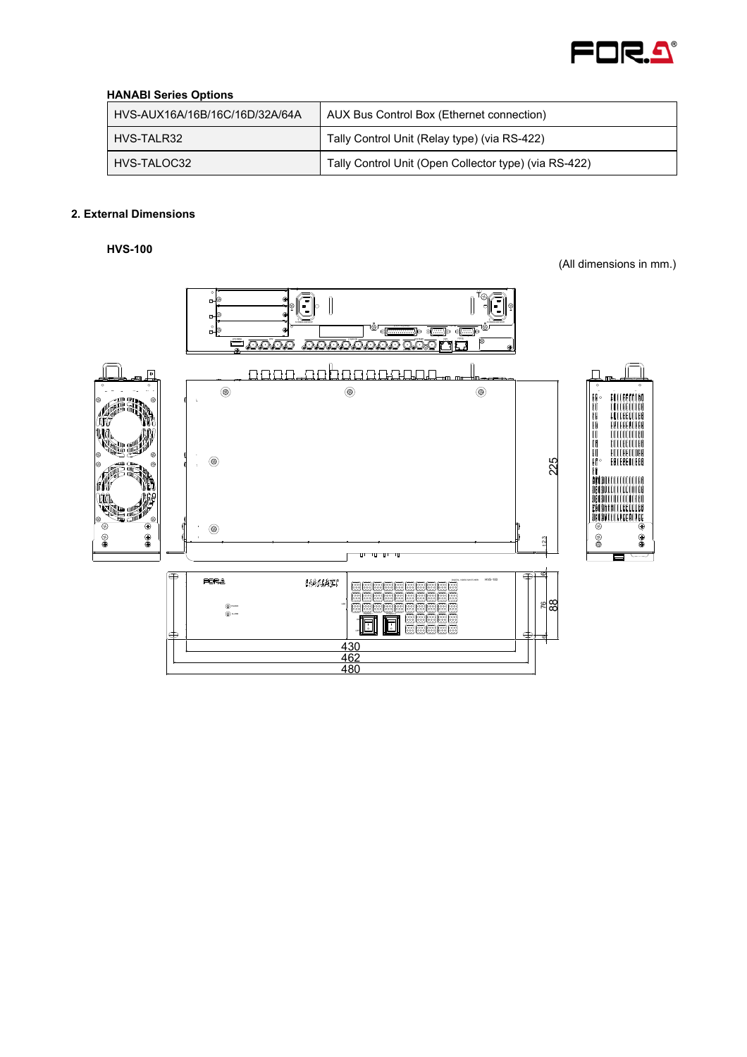

# **HANABI Series Options**

| HVS-AUX16A/16B/16C/16D/32A/64A | AUX Bus Control Box (Ethernet connection)             |
|--------------------------------|-------------------------------------------------------|
| HVS-TALR32                     | Tally Control Unit (Relay type) (via RS-422)          |
| HVS-TALOC32                    | Tally Control Unit (Open Collector type) (via RS-422) |

# **2. External Dimensions**

**HVS-100** 

(All dimensions in mm.)